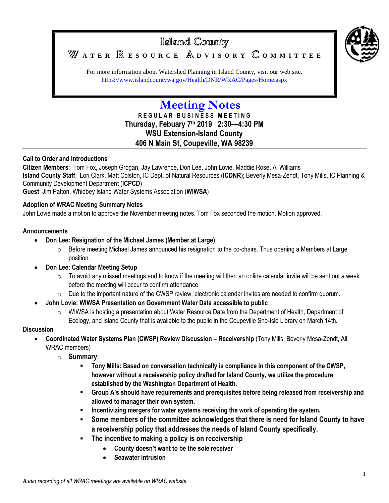

# Islamd County WATER **RESOURCE** ADVISORY COMMITTEE

For more information about Watershed Planning in Island County, visit our web site. <https://www.islandcountywa.gov/Health/DNR/WRAC/Pages/Home.aspx>

# **Meeting Notes**

**R E G U L A R B U S I N E S S M E E T I N G Thursday, Febuary 7th 2019 2:30—4:30 PM WSU Extension-Island County 406 N Main St, Coupeville, WA 98239**

#### **Call to Order and Introductions**

**Citizen Members**: Tom Fox, Joseph Grogan, Jay Lawrence, Don Lee, John Lovie, Maddie Rose, Al Williams **Island County Staff**: Lori Clark, Matt Colston, IC Dept. of Natural Resources (**ICDNR**); Beverly Mesa-Zendt, Tony Mills, IC Planning & Community Development Department (**ICPCD**) **Guest**: Jim Patton, Whidbey Island Water Systems Association (**WIWSA**)

#### **Adoption of WRAC Meeting Summary Notes**

John Lovie made a motion to approve the November meeting notes. Tom Fox seconded the motion. Motion approved.

#### **Announcements**

- **Don Lee: Resignation of the Michael James (Member at Large)**
	- $\circ$  Before meeting Michael James announced his resignation to the co-chairs. Thus opening a Members at Large position.

# **Don Lee: Calendar Meeting Setup**

- $\circ$  To avoid any missed meetings and to know if the meeting will then an online calendar invite will be sent out a week before the meeting will occur to confirm attendance.
- $\circ$  Due to the important nature of the CWSP review, electronic calendar invites are needed to confirm quorum.

# **John Lovie: WIWSA Presentation on Government Water Data accessible to public**

 $\circ$  WIWSA is hosting a presentation about Water Resource Data from the Department of Health, Department of Ecology, and Island County that is available to the public in the Coupeville Sno-Isle Library on March 14th.

# **Discussion**

- **Coordinated Water Systems Plan (CWSP) Review Discussion – Receivership** (Tony Mills, Beverly Mesa-Zendt, All WRAC members)
	- o **Summary**:
		- **Tony Mills: Based on conversation technically is compliance in this component of the CWSP, however without a receivership policy drafted for Island County, we utilize the procedure established by the Washington Department of Health.**
		- **Group A's should have requirements and prerequisites before being released from receivership and allowed to manager their own system.**
		- **Incentivizing mergers for water systems receiving the work of operating the system.**
		- **Some members of the committee acknowledges that there is need for Island County to have a receivership policy that addresses the needs of Island County specifically.**
		- **The incentive to making a policy is on receivership**
			- **County doesn't want to be the sole receiver**
			- **Seawater intrusion**